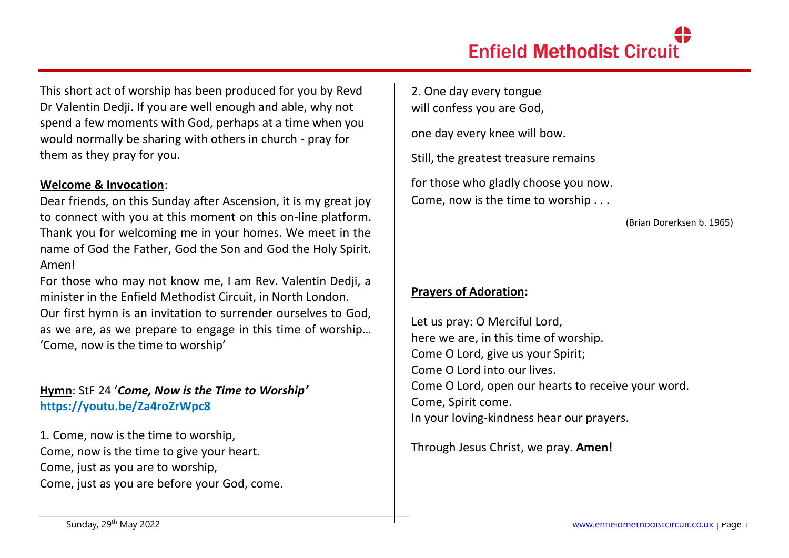This short act of worship has been produced for you by Revd Dr Valentin Dedji. If you are well enough and able, why not spend a few moments with God, perhaps at a time when you would normally be sharing with others in church - pray for them as they pray for you.

### **Welcome & Invocation**:

Dear friends, on this Sunday after Ascension, it is my great joy to connect with you at this moment on this on-line platform. Thank you for welcoming me in your homes. We meet in the name of God the Father, God the Son and God the Holy Spirit. Amen!

For those who may not know me, I am Rev. Valentin Dedji, a minister in the Enfield Methodist Circuit, in North London. Our first hymn is an invitation to surrender ourselves to God, as we are, as we prepare to engage in this time of worship… 'Come, now is the time to worship'

### **Hymn**: StF 24 '*Come, Now is the Time to Worship'* **https://youtu.be/Za4roZrWpc8**

1. Come, now is the time to worship, Come, now is the time to give your heart. Come, just as you are to worship, Come, just as you are before your God, come. 2. One day every tongue will confess you are God,

one day every knee will bow.

Still, the greatest treasure remains

for those who gladly choose you now. Come, now is the time to worship . . .

(Brian Dorerksen b. 1965)

#### **Prayers of Adoration:**

Let us pray: O Merciful Lord, here we are, in this time of worship. Come O Lord, give us your Spirit; Come O Lord into our lives. Come O Lord, open our hearts to receive your word. Come, Spirit come. In your loving-kindness hear our prayers.

Through Jesus Christ, we pray. **Amen!**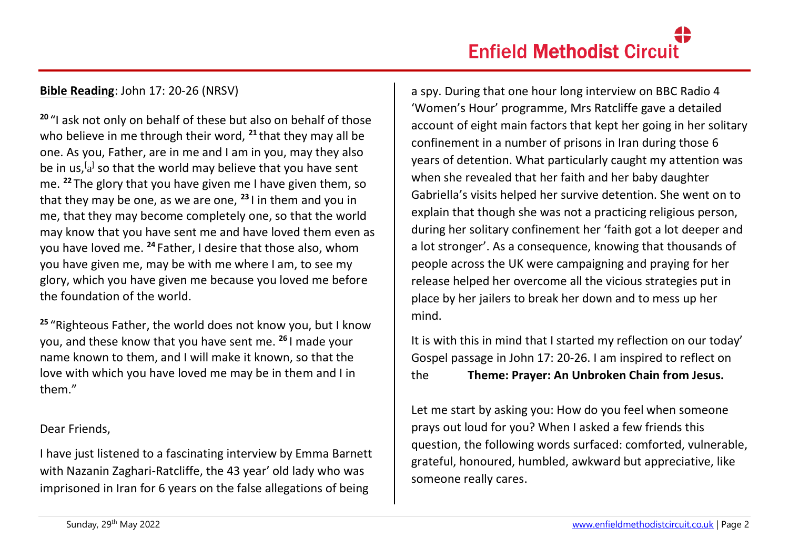# **Bible Reading**: John 17: 20-26 (NRSV)

**<sup>20</sup>** "I ask not only on behalf of these but also on behalf of those who believe in me through their word, **<sup>21</sup>** that they may all be one. As you, Father, are in me and I am in you, may they also be in us,<sup>[</sup>[a](https://www.biblegateway.com/passage/?search=John%2017%3A20-26&version=NRSVUE#fen-NRSVUE-26770a)<sup>]</sup> so that the world may believe that you have sent me. **<sup>22</sup>** The glory that you have given me I have given them, so that they may be one, as we are one, **<sup>23</sup>** I in them and you in me, that they may become completely one, so that the world may know that you have sent me and have loved them even as you have loved me. **<sup>24</sup>** Father, I desire that those also, whom you have given me, may be with me where I am, to see my glory, which you have given me because you loved me before the foundation of the world.

**<sup>25</sup>** "Righteous Father, the world does not know you, but I know you, and these know that you have sent me. **<sup>26</sup>** I made your name known to them, and I will make it known, so that the love with which you have loved me may be in them and I in them."

### Dear Friends,

I have just listened to a fascinating interview by Emma Barnett with Nazanin Zaghari-Ratcliffe, the 43 year' old lady who was imprisoned in Iran for 6 years on the false allegations of being

a spy. During that one hour long interview on BBC Radio 4 'Women's Hour' programme, Mrs Ratcliffe gave a detailed account of eight main factors that kept her going in her solitary confinement in a number of prisons in Iran during those 6 years of detention. What particularly caught my attention was when she revealed that her faith and her baby daughter Gabriella's visits helped her survive detention. She went on to explain that though she was not a practicing religious person, during her solitary confinement her 'faith got a lot deeper and a lot stronger'. As a consequence, knowing that thousands of people across the UK were campaigning and praying for her release helped her overcome all the vicious strategies put in place by her jailers to break her down and to mess up her mind.

It is with this in mind that I started my reflection on our today' Gospel passage in John 17: 20-26. I am inspired to reflect on the **Theme: Prayer: An Unbroken Chain from Jesus.**

Let me start by asking you: How do you feel when someone prays out loud for you? When I asked a few friends this question, the following words surfaced: comforted, vulnerable, grateful, honoured, humbled, awkward but appreciative, like someone really cares.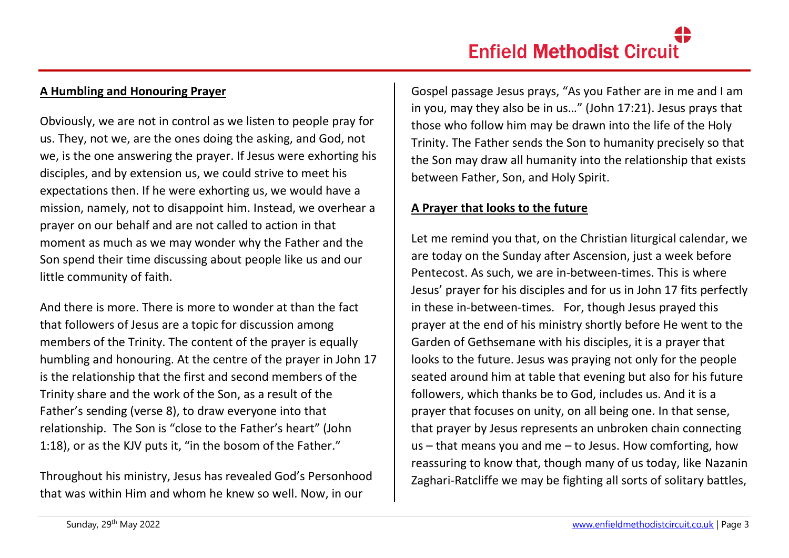### **A Humbling and Honouring Prayer**

Obviously, we are not in control as we listen to people pray for us. They, not we, are the ones doing the asking, and God, not we, is the one answering the prayer. If Jesus were exhorting his disciples, and by extension us, we could strive to meet his expectations then. If he were exhorting us, we would have a mission, namely, not to disappoint him. Instead, we overhear a prayer on our behalf and are not called to action in that moment as much as we may wonder why the Father and the Son spend their time discussing about people like us and our little community of faith.

And there is more. There is more to wonder at than the fact that followers of Jesus are a topic for discussion among members of the Trinity. The content of the prayer is equally humbling and honouring. At the centre of the prayer in John 17 is the relationship that the first and second members of the Trinity share and the work of the Son, as a result of the Father's sending (verse 8), to draw everyone into that relationship. The Son is "close to the Father's heart" (John 1:18), or as the KJV puts it, "in the bosom of the Father."

Throughout his ministry, Jesus has revealed God's Personhood that was within Him and whom he knew so well. Now, in our

Gospel passage Jesus prays, "As you Father are in me and I am in you, may they also be in us…" (John 17:21). Jesus prays that those who follow him may be drawn into the life of the Holy Trinity. The Father sends the Son to humanity precisely so that the Son may draw all humanity into the relationship that exists between Father, Son, and Holy Spirit.

# **A Prayer that looks to the future**

Let me remind you that, on the Christian liturgical calendar, we are today on the Sunday after Ascension, just a week before Pentecost. As such, we are in-between-times. This is where Jesus' prayer for his disciples and for us in John 17 fits perfectly in these in-between-times. For, though Jesus prayed this prayer at the end of his ministry shortly before He went to the Garden of Gethsemane with his disciples, it is a prayer that looks to the future. Jesus was praying not only for the people seated around him at table that evening but also for his future followers, which thanks be to God, includes us. And it is a prayer that focuses on unity, on all being one. In that sense, that prayer by Jesus represents an unbroken chain connecting us – that means you and me – to Jesus. How comforting, how reassuring to know that, though many of us today, like Nazanin Zaghari-Ratcliffe we may be fighting all sorts of solitary battles,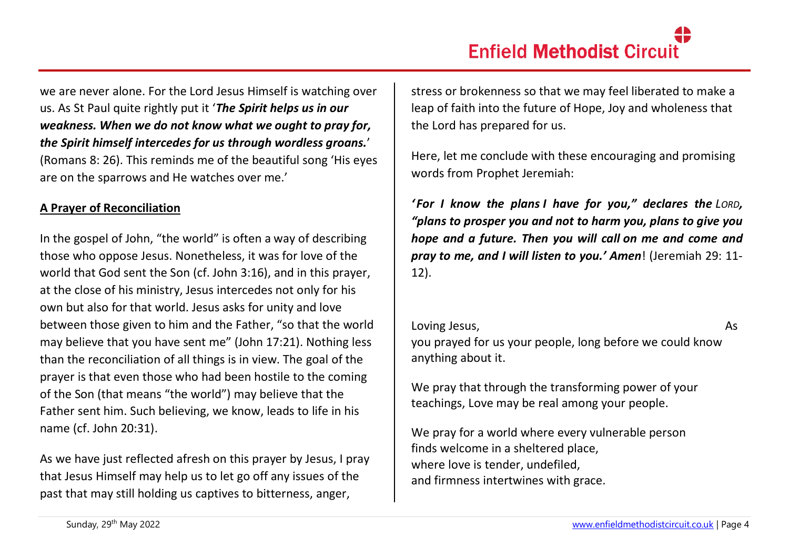we are never alone. For the Lord Jesus Himself is watching over us. As St Paul quite rightly put it '*The Spirit helps us in our weakness. When we do not know what we ought to pray for, the Spirit himself intercedes for us through wordless groans.*' (Romans 8: 26). This reminds me of the beautiful song 'His eyes are on the sparrows and He watches over me.'

# **A Prayer of Reconciliation**

In the gospel of John, "the world" is often a way of describing those who oppose Jesus. Nonetheless, it was for love of the world that God sent the Son (cf. John 3:16), and in this prayer, at the close of his ministry, Jesus intercedes not only for his own but also for that world. Jesus asks for unity and love between those given to him and the Father, "so that the world may believe that you have sent me" (John 17:21). Nothing less than the reconciliation of all things is in view. The goal of the prayer is that even those who had been hostile to the coming of the Son (that means "the world") may believe that the Father sent him. Such believing, we know, leads to life in his name (cf. John 20:31).

As we have just reflected afresh on this prayer by Jesus, I pray that Jesus Himself may help us to let go off any issues of the past that may still holding us captives to bitterness, anger,

stress or brokenness so that we may feel liberated to make a leap of faith into the future of Hope, Joy and wholeness that the Lord has prepared for us.

Here, let me conclude with these encouraging and promising words from Prophet Jeremiah:

*' For I know the plans I have for you," declares the LORD, "plans to prosper you and not to harm you, plans to give you hope and a future. Then you will call on me and come and pray to me, and I will listen to you.' Amen*! (Jeremiah 29: 11- 12).

Loving Jesus, As you prayed for us your people, long before we could know anything about it.

We pray that through the transforming power of your teachings, Love may be real among your people.

We pray for a world where every vulnerable person finds welcome in a sheltered place, where love is tender, undefiled, and firmness intertwines with grace.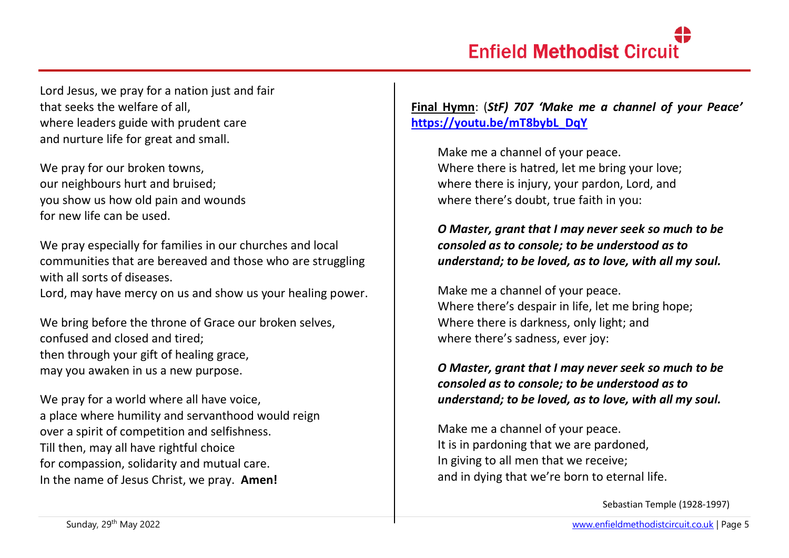Lord Jesus, we pray for a nation just and fair that seeks the welfare of all, where leaders guide with prudent care and nurture life for great and small.

We pray for our broken towns, our neighbours hurt and bruised; you show us how old pain and wounds for new life can be used.

We pray especially for families in our churches and local communities that are bereaved and those who are struggling with all sorts of diseases. Lord, may have mercy on us and show us your healing power.

We bring before the throne of Grace our broken selves, confused and closed and tired; then through your gift of healing grace, may you awaken in us a new purpose.

We pray for a world where all have voice, a place where humility and servanthood would reign over a spirit of competition and selfishness. Till then, may all have rightful choice for compassion, solidarity and mutual care. In the name of Jesus Christ, we pray. **Amen!**

**Final Hymn**: (*StF) 707 'Make me a channel of your Peace'* **[https://youtu.be/mT8bybL\\_DqY](https://youtu.be/mT8bybL_DqY)**

Make me a channel of your peace. Where there is hatred, let me bring your love; where there is injury, your pardon, Lord, and where there's doubt, true faith in you:

*O Master, grant that I may never seek so much to be consoled as to console; to be understood as to understand; to be loved, as to love, with all my soul.*

Make me a channel of your peace. Where there's despair in life, let me bring hope; Where there is darkness, only light; and where there's sadness, ever joy:

*O Master, grant that I may never seek so much to be consoled as to console; to be understood as to understand; to be loved, as to love, with all my soul.*

Make me a channel of your peace. It is in pardoning that we are pardoned, In giving to all men that we receive; and in dying that we're born to eternal life.

Sebastian Temple (1928-1997)